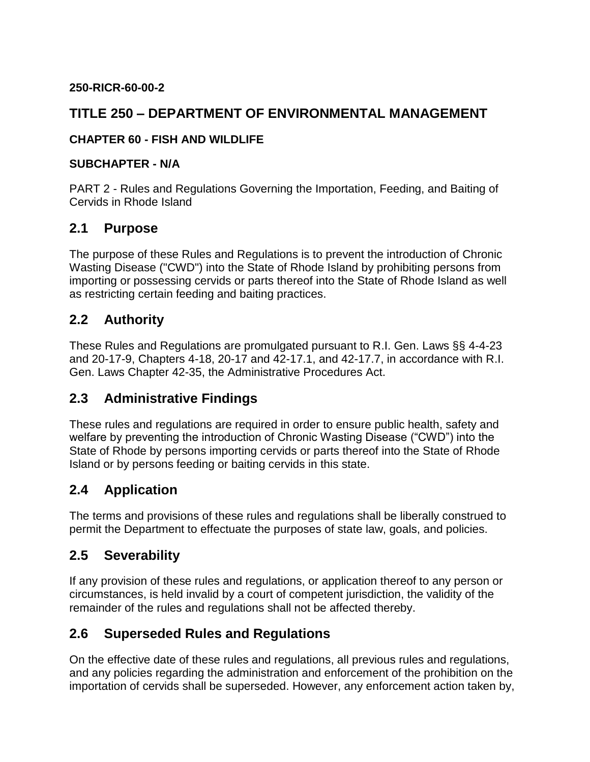#### **250-RICR-60-00-2**

## **TITLE 250 – DEPARTMENT OF ENVIRONMENTAL MANAGEMENT**

#### **CHAPTER 60 - FISH AND WILDLIFE**

#### **SUBCHAPTER - N/A**

PART 2 - Rules and Regulations Governing the Importation, Feeding, and Baiting of Cervids in Rhode Island

#### **2.1 Purpose**

The purpose of these Rules and Regulations is to prevent the introduction of Chronic Wasting Disease ("CWD") into the State of Rhode Island by prohibiting persons from importing or possessing cervids or parts thereof into the State of Rhode Island as well as restricting certain feeding and baiting practices.

### **2.2 Authority**

These Rules and Regulations are promulgated pursuant to R.I. Gen. Laws §§ 4-4-23 and 20-17-9, Chapters 4-18, 20-17 and 42-17.1, and 42-17.7, in accordance with R.I. Gen. Laws Chapter 42-35, the Administrative Procedures Act.

## **2.3 Administrative Findings**

These rules and regulations are required in order to ensure public health, safety and welfare by preventing the introduction of Chronic Wasting Disease ("CWD") into the State of Rhode by persons importing cervids or parts thereof into the State of Rhode Island or by persons feeding or baiting cervids in this state.

## **2.4 Application**

The terms and provisions of these rules and regulations shall be liberally construed to permit the Department to effectuate the purposes of state law, goals, and policies.

#### **2.5 Severability**

If any provision of these rules and regulations, or application thereof to any person or circumstances, is held invalid by a court of competent jurisdiction, the validity of the remainder of the rules and regulations shall not be affected thereby.

## **2.6 Superseded Rules and Regulations**

On the effective date of these rules and regulations, all previous rules and regulations, and any policies regarding the administration and enforcement of the prohibition on the importation of cervids shall be superseded. However, any enforcement action taken by,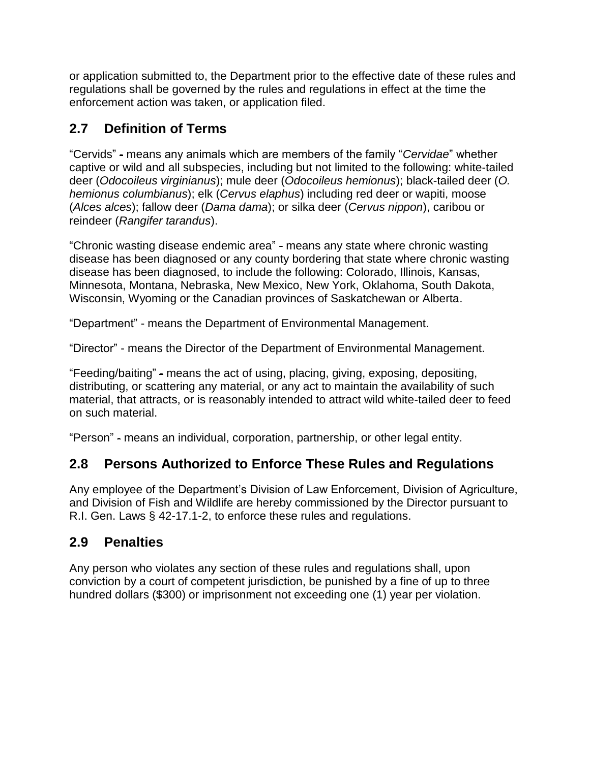or application submitted to, the Department prior to the effective date of these rules and regulations shall be governed by the rules and regulations in effect at the time the enforcement action was taken, or application filed.

# **2.7 Definition of Terms**

"Cervids" - means any animals which are members of the family "*Cervidae*" whether captive or wild and all subspecies, including but not limited to the following: white-tailed deer (*Odocoileus virginianus*); mule deer (*Odocoileus hemionus*); black-tailed deer (*O. hemionus columbianus*); elk (*Cervus elaphus*) including red deer or wapiti, moose (*Alces alces*); fallow deer (*Dama dama*); or silka deer (*Cervus nippon*), caribou or reindeer (*Rangifer tarandus*).

"Chronic wasting disease endemic area" - means any state where chronic wasting disease has been diagnosed or any county bordering that state where chronic wasting disease has been diagnosed, to include the following: Colorado, Illinois, Kansas, Minnesota, Montana, Nebraska, New Mexico, New York, Oklahoma, South Dakota, Wisconsin, Wyoming or the Canadian provinces of Saskatchewan or Alberta.

"Department" - means the Department of Environmental Management.

"Director" - means the Director of the Department of Environmental Management.

"Feeding/baiting" - means the act of using, placing, giving, exposing, depositing, distributing, or scattering any material, or any act to maintain the availability of such material, that attracts, or is reasonably intended to attract wild white-tailed deer to feed on such material.

"Person" - means an individual, corporation, partnership, or other legal entity.

# **2.8 Persons Authorized to Enforce These Rules and Regulations**

Any employee of the Department's Division of Law Enforcement, Division of Agriculture, and Division of Fish and Wildlife are hereby commissioned by the Director pursuant to R.I. Gen. Laws § 42-17.1-2, to enforce these rules and regulations.

# **2.9 Penalties**

Any person who violates any section of these rules and regulations shall, upon conviction by a court of competent jurisdiction, be punished by a fine of up to three hundred dollars (\$300) or imprisonment not exceeding one (1) year per violation.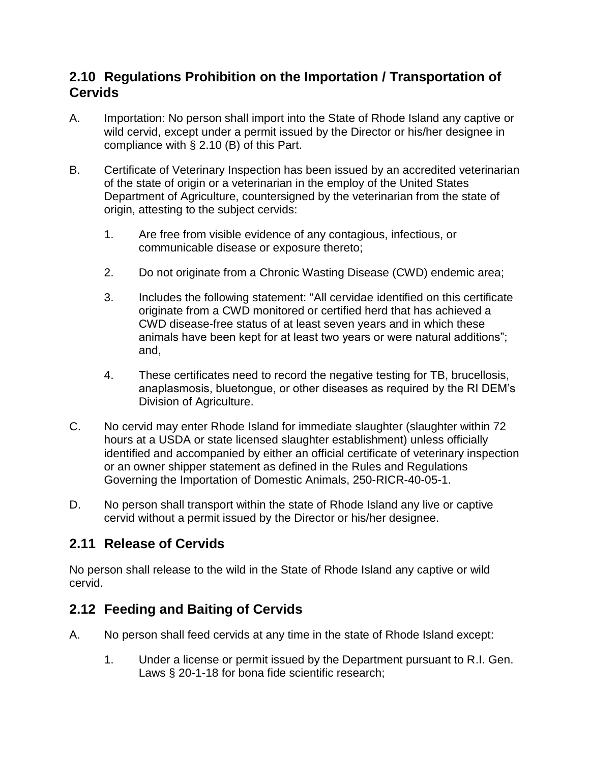## **2.10 Regulations Prohibition on the Importation / Transportation of Cervids**

- A. Importation: No person shall import into the State of Rhode Island any captive or wild cervid, except under a permit issued by the Director or his/her designee in compliance with § 2.10 (B) of this Part.
- B. Certificate of Veterinary Inspection has been issued by an accredited veterinarian of the state of origin or a veterinarian in the employ of the United States Department of Agriculture, countersigned by the veterinarian from the state of origin, attesting to the subject cervids:
	- 1. Are free from visible evidence of any contagious, infectious, or communicable disease or exposure thereto;
	- 2. Do not originate from a Chronic Wasting Disease (CWD) endemic area;
	- 3. Includes the following statement: "All cervidae identified on this certificate originate from a CWD monitored or certified herd that has achieved a CWD disease-free status of at least seven years and in which these animals have been kept for at least two years or were natural additions"; and,
	- 4. These certificates need to record the negative testing for TB, brucellosis, anaplasmosis, bluetongue, or other diseases as required by the RI DEM's Division of Agriculture.
- C. No cervid may enter Rhode Island for immediate slaughter (slaughter within 72 hours at a USDA or state licensed slaughter establishment) unless officially identified and accompanied by either an official certificate of veterinary inspection or an owner shipper statement as defined in the Rules and Regulations Governing the Importation of Domestic Animals, 250-RICR-40-05-1.
- D. No person shall transport within the state of Rhode Island any live or captive cervid without a permit issued by the Director or his/her designee.

# **2.11 Release of Cervids**

No person shall release to the wild in the State of Rhode Island any captive or wild cervid.

# **2.12 Feeding and Baiting of Cervids**

- A. No person shall feed cervids at any time in the state of Rhode Island except:
	- 1. Under a license or permit issued by the Department pursuant to R.I. Gen. Laws § 20-1-18 for bona fide scientific research;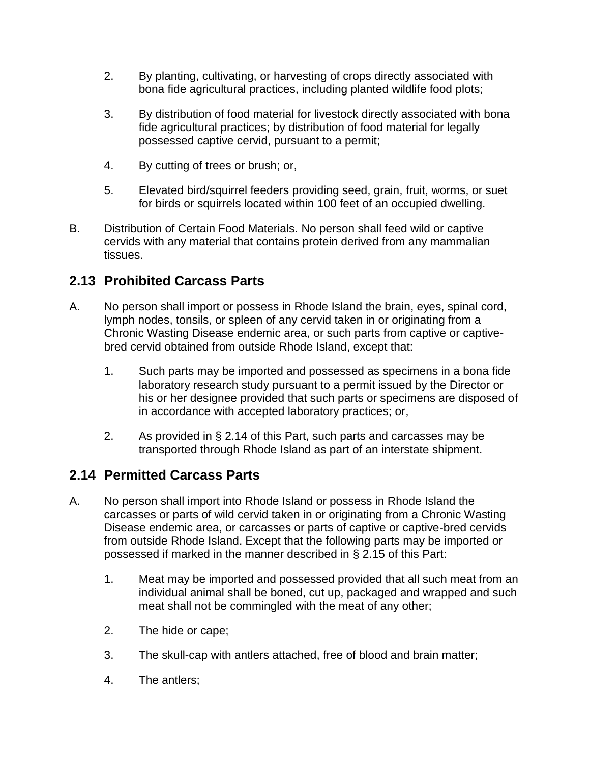- 2. By planting, cultivating, or harvesting of crops directly associated with bona fide agricultural practices, including planted wildlife food plots;
- 3. By distribution of food material for livestock directly associated with bona fide agricultural practices; by distribution of food material for legally possessed captive cervid, pursuant to a permit;
- 4. By cutting of trees or brush; or,
- 5. Elevated bird/squirrel feeders providing seed, grain, fruit, worms, or suet for birds or squirrels located within 100 feet of an occupied dwelling.
- B. Distribution of Certain Food Materials. No person shall feed wild or captive cervids with any material that contains protein derived from any mammalian tissues.

# **2.13 Prohibited Carcass Parts**

- A. No person shall import or possess in Rhode Island the brain, eyes, spinal cord, lymph nodes, tonsils, or spleen of any cervid taken in or originating from a Chronic Wasting Disease endemic area, or such parts from captive or captivebred cervid obtained from outside Rhode Island, except that:
	- 1. Such parts may be imported and possessed as specimens in a bona fide laboratory research study pursuant to a permit issued by the Director or his or her designee provided that such parts or specimens are disposed of in accordance with accepted laboratory practices; or,
	- 2. As provided in § 2.14 of this Part, such parts and carcasses may be transported through Rhode Island as part of an interstate shipment.

# **2.14 Permitted Carcass Parts**

- A. No person shall import into Rhode Island or possess in Rhode Island the carcasses or parts of wild cervid taken in or originating from a Chronic Wasting Disease endemic area, or carcasses or parts of captive or captive-bred cervids from outside Rhode Island. Except that the following parts may be imported or possessed if marked in the manner described in § 2.15 of this Part:
	- 1. Meat may be imported and possessed provided that all such meat from an individual animal shall be boned, cut up, packaged and wrapped and such meat shall not be commingled with the meat of any other;
	- 2. The hide or cape;
	- 3. The skull-cap with antlers attached, free of blood and brain matter;
	- 4. The antlers;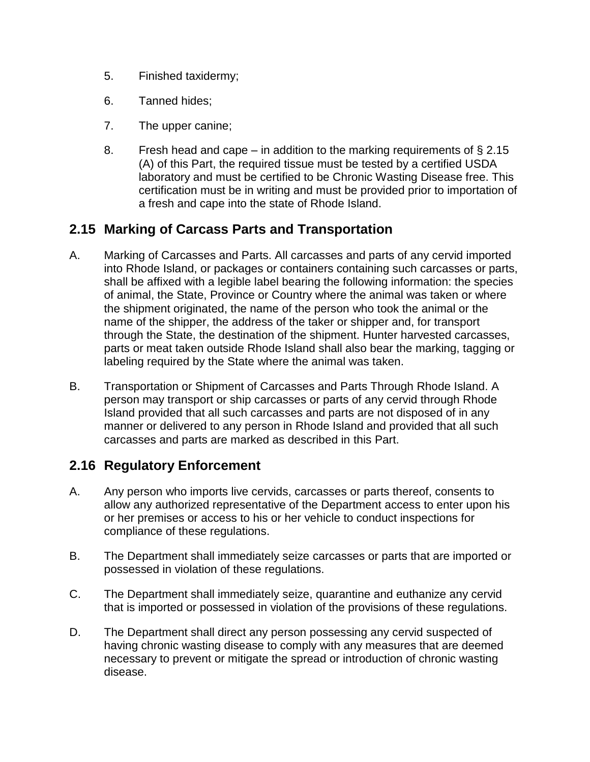- 5. Finished taxidermy;
- 6. Tanned hides;
- 7. The upper canine;
- 8. Fresh head and cape in addition to the marking requirements of  $\S 2.15$ (A) of this Part, the required tissue must be tested by a certified USDA laboratory and must be certified to be Chronic Wasting Disease free. This certification must be in writing and must be provided prior to importation of a fresh and cape into the state of Rhode Island.

### **2.15 Marking of Carcass Parts and Transportation**

- A. Marking of Carcasses and Parts. All carcasses and parts of any cervid imported into Rhode Island, or packages or containers containing such carcasses or parts, shall be affixed with a legible label bearing the following information: the species of animal, the State, Province or Country where the animal was taken or where the shipment originated, the name of the person who took the animal or the name of the shipper, the address of the taker or shipper and, for transport through the State, the destination of the shipment. Hunter harvested carcasses, parts or meat taken outside Rhode Island shall also bear the marking, tagging or labeling required by the State where the animal was taken.
- B. Transportation or Shipment of Carcasses and Parts Through Rhode Island. A person may transport or ship carcasses or parts of any cervid through Rhode Island provided that all such carcasses and parts are not disposed of in any manner or delivered to any person in Rhode Island and provided that all such carcasses and parts are marked as described in this Part.

#### **2.16 Regulatory Enforcement**

- A. Any person who imports live cervids, carcasses or parts thereof, consents to allow any authorized representative of the Department access to enter upon his or her premises or access to his or her vehicle to conduct inspections for compliance of these regulations.
- B. The Department shall immediately seize carcasses or parts that are imported or possessed in violation of these regulations.
- C. The Department shall immediately seize, quarantine and euthanize any cervid that is imported or possessed in violation of the provisions of these regulations.
- D. The Department shall direct any person possessing any cervid suspected of having chronic wasting disease to comply with any measures that are deemed necessary to prevent or mitigate the spread or introduction of chronic wasting disease.